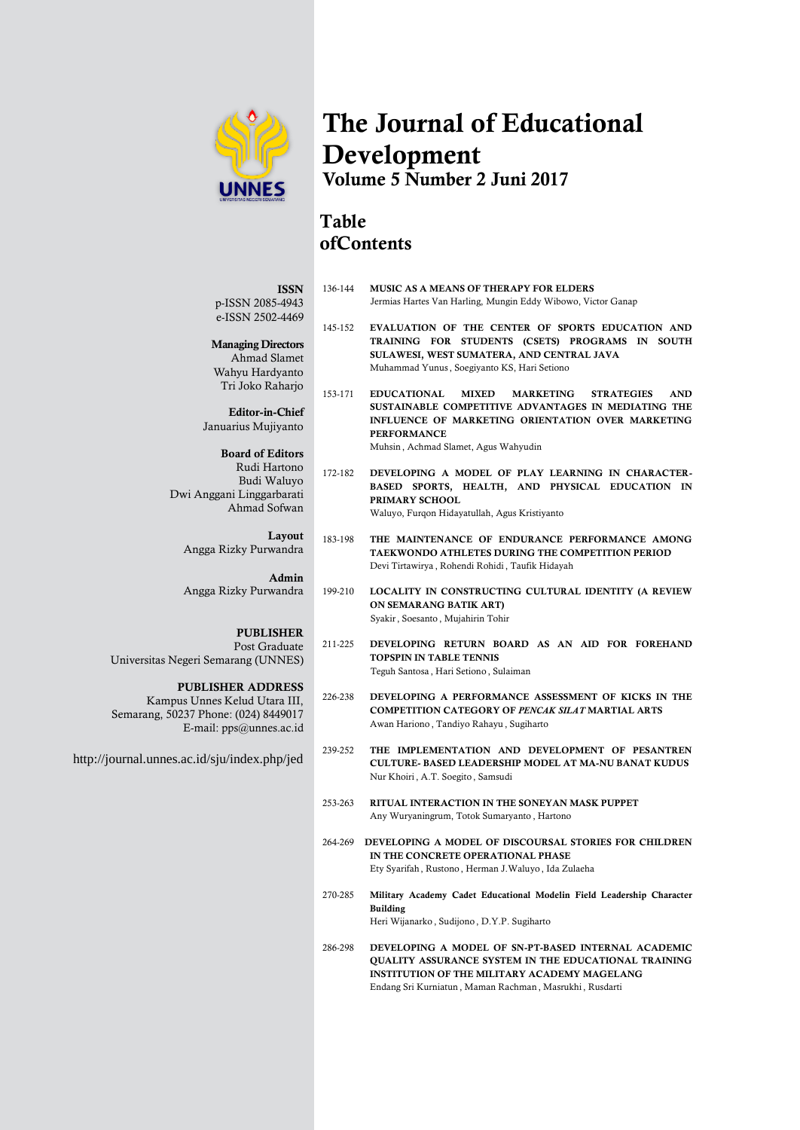

# **The Journal of Educational Development Volume 5 Number 2 Juni 2017**

## **Table ofContents**

| 136-144 | <b>MUSIC AS A MEANS OF THERAPY FOR ELDERS</b><br>Jermias Hartes Van Harling, Mungin Eddy Wibowo, Victor Ganap                                                                                                                                                              |
|---------|----------------------------------------------------------------------------------------------------------------------------------------------------------------------------------------------------------------------------------------------------------------------------|
| 145-152 | EVALUATION OF THE CENTER OF SPORTS EDUCATION AND<br>TRAINING FOR STUDENTS (CSETS) PROGRAMS IN SOUTH<br>SULAWESI, WEST SUMATERA, AND CENTRAL JAVA<br>Muhammad Yunus, Soegiyanto KS, Hari Setiono                                                                            |
| 153-171 | <b>EDUCATIONAL</b><br><b>MIXED</b><br><b>MARKETING</b><br><b>STRATEGIES</b><br><b>AND</b><br>SUSTAINABLE COMPETITIVE ADVANTAGES IN MEDIATING THE<br><b>INFLUENCE OF MARKETING ORIENTATION OVER MARKETING</b><br><b>PERFORMANCE</b><br>Muhsin, Achmad Slamet, Agus Wahyudin |
| 172-182 | DEVELOPING A MODEL OF PLAY LEARNING IN CHARACTER-<br>BASED SPORTS, HEALTH, AND PHYSICAL EDUCATION IN<br>PRIMARY SCHOOL                                                                                                                                                     |

Waluyo, Furgon Hidayatullah, Agus Kristiyanto

- 183-198 **THE MAINTENANCE OF ENDURANCE PERFORMANCE AMONG TAEKWONDO ATHLETES DURING THE COMPETITION PERIOD** Devi Tirtawirya , Rohendi Rohidi , Taufik Hidayah
- 199-210 **LOCALITY IN CONSTRUCTING CULTURAL IDENTITY (A REVIEW ON SEMARANG BATIK ART)** Syakir, Soesanto , Mujahirin Tohir
- 211-225 **DEVELOPING RETURN BOARD AS AN AID FOR FOREHAND TOPSPIN IN TABLE TENNIS** Teguh Santosa , Hari Setiono , Sulaiman
- 226-238 **DEVELOPING A PERFORMANCE ASSESSMENT OF KICKS IN THE COMPETITION CATEGORY OF** *PENCAK SILAT* **MARTIAL ARTS**  Awan Hariono , Tandiyo Rahayu , Sugiharto
- 239-252 **THE IMPLEMENTATION AND DEVELOPMENT OF PESANTREN CULTURE- BASED LEADERSHIP MODEL AT MA-NU BANAT KUDUS** Nur Khoiri , A.T. Soegito , Samsudi
- 253-263 **RITUAL INTERACTION IN THE SONEYAN MASK PUPPET** Any Wuryaningrum, Totok Sumaryanto , Hartono
- 264-269 **DEVELOPING A MODEL OF DISCOURSAL STORIES FOR CHILDREN IN THE CONCRETE OPERATIONAL PHASE**  Ety Syarifah , Rustono , Herman J.Waluyo , Ida Zulaeha
- 270-285 **Military Academy Cadet Educational Modelin Field Leadership Character Building** Heri Wijanarko , Sudijono , D.Y.P. Sugiharto
- 286-298 **DEVELOPING A MODEL OF SN-PT-BASED INTERNAL ACADEMIC QUALITY ASSURANCE SYSTEM IN THE EDUCATIONAL TRAINING INSTITUTION OF THE MILITARY ACADEMY MAGELANG** Endang Sri Kurniatun , Maman Rachman , Masrukhi , Rusdarti

**ISSN** p-ISSN 2085-4943 e-ISSN 2502-4469

## **Managing Directors**

Ahmad Slamet Wahyu Hardyanto Tri Joko Raharjo

**Editor-in-Chief** Januarius Mujiyanto

**Board of Editors** Rudi Hartono Budi Waluyo Dwi Anggani Linggarbarati Ahmad Sofwan

**Layout** Angga Rizky Purwandra

**Admin**

Angga Rizky Purwandra

## **PUBLISHER**

 Post Graduate Universitas Negeri Semarang (UNNES)

> **PUBLISHER ADDRESS**  Kampus Unnes Kelud Utara III,

Semarang, 50237 Phone: (024) 8449017 E-mail: pps@unnes.ac.id

http://journal.unnes.ac.id/sju/index.php/jed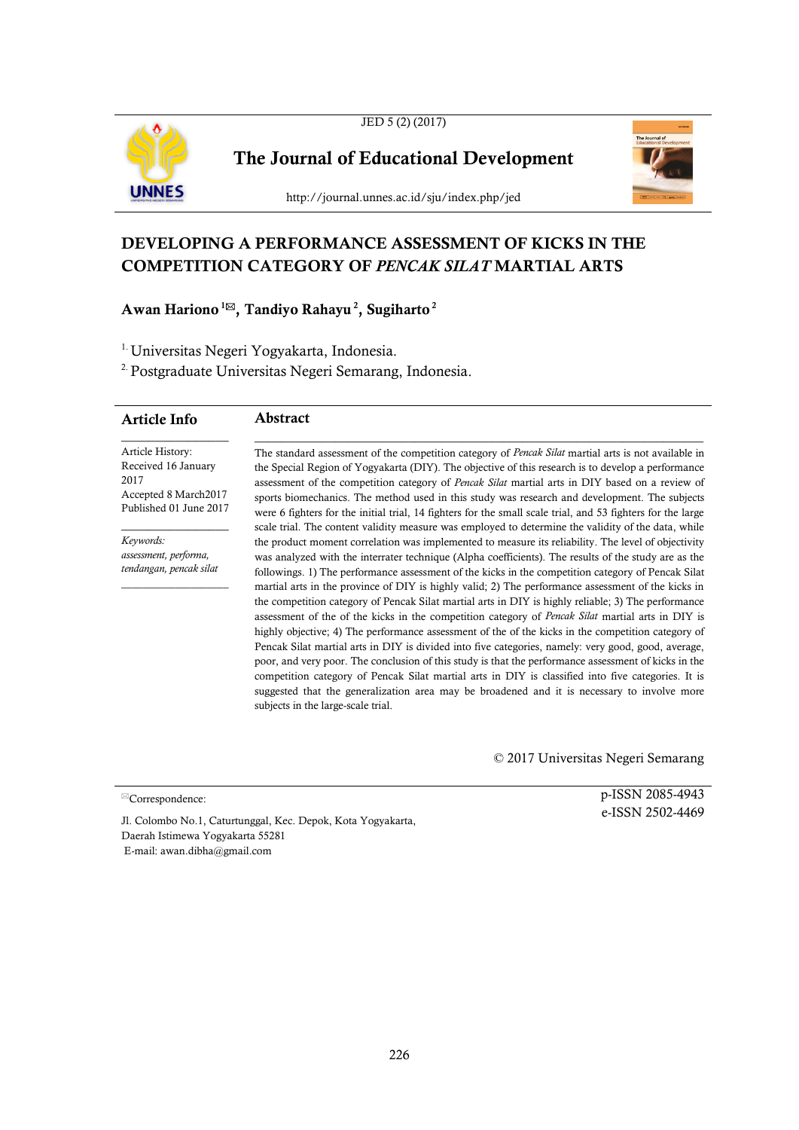



**The Journal of Educational Development**



http://journal.unnes.ac.id/sju/index.php/jed

## **DEVELOPING A PERFORMANCE ASSESSMENT OF KICKS IN THE COMPETITION CATEGORY OF** *PENCAK SILAT* **MARTIAL ARTS**

## **Awan Hariono<sup>1</sup>, Tandiyo Rahayu <sup>2</sup> , Sugiharto 2**

<sup>1.</sup> Universitas Negeri Yogyakarta, Indonesia.

2.Postgraduate Universitas Negeri Semarang, Indonesia.

| <b>Article Info</b>                     | <b>Abstract</b>                                                                                                                                                                                                    |
|-----------------------------------------|--------------------------------------------------------------------------------------------------------------------------------------------------------------------------------------------------------------------|
| Article History:<br>Received 16 January | The standard assessment of the competition category of <i>Pencak Silat</i> martial arts is not available in<br>the Special Region of Yogyakarta (DIY). The objective of this research is to develop a performance  |
| 2017<br>Accepted 8 March2017            | assessment of the competition category of <i>Pencak Silat</i> martial arts in DIY based on a review of<br>sports biomechanics. The method used in this study was research and development. The subjects            |
| Published 01 June 2017                  | were 6 fighters for the initial trial, 14 fighters for the small scale trial, and 53 fighters for the large<br>scale trial. The content validity measure was employed to determine the validity of the data, while |
| Keywords:                               | the product moment correlation was implemented to measure its reliability. The level of objectivity                                                                                                                |

*assessment, performa, tendangan, pencak silat* 

 $\mathcal{L}=\mathcal{L}$  , we can also the set of the set of the set of the set of the set of the set of the set of the set of the set of the set of the set of the set of the set of the set of the set of the set of the set of the s

was analyzed with the interrater technique (Alpha coefficients). The results of the study are as the followings. 1) The performance assessment of the kicks in the competition category of Pencak Silat martial arts in the province of DIY is highly valid; 2) The performance assessment of the kicks in the competition category of Pencak Silat martial arts in DIY is highly reliable; 3) The performance assessment of the of the kicks in the competition category of *Pencak Silat* martial arts in DIY is highly objective; 4) The performance assessment of the of the kicks in the competition category of Pencak Silat martial arts in DIY is divided into five categories, namely: very good, good, average, poor, and very poor. The conclusion of this study is that the performance assessment of kicks in the competition category of Pencak Silat martial arts in DIY is classified into five categories. It is suggested that the generalization area may be broadened and it is necessary to involve more subjects in the large-scale trial.

© 2017 Universitas Negeri Semarang

 $\mathbb{Z}$ Correspondence:

p-ISSN 2085-4943 e-ISSN 2502-4469

Jl. Colombo No.1, Caturtunggal, Kec. Depok, Kota Yogyakarta, Daerah Istimewa Yogyakarta 55281 E-mail: awan.dibha@gmail.com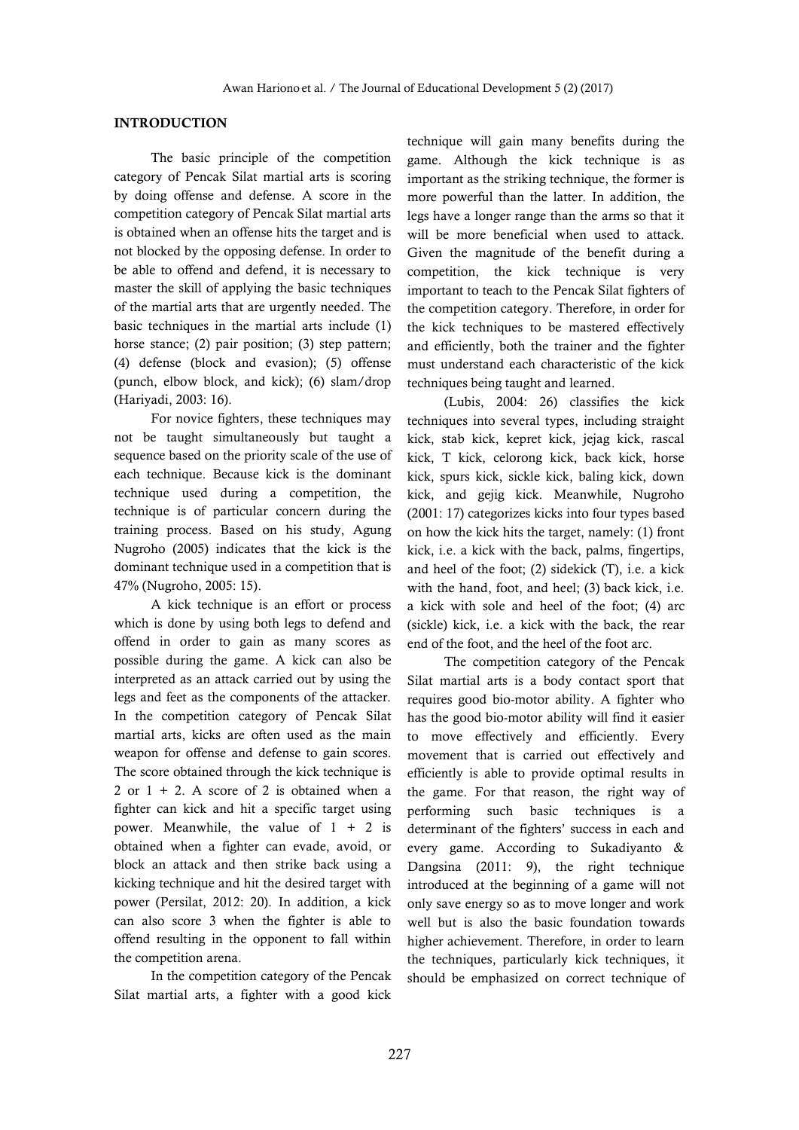## **INTRODUCTION**

The basic principle of the competition category of Pencak Silat martial arts is scoring by doing offense and defense. A score in the competition category of Pencak Silat martial arts is obtained when an offense hits the target and is not blocked by the opposing defense. In order to be able to offend and defend, it is necessary to master the skill of applying the basic techniques of the martial arts that are urgently needed. The basic techniques in the martial arts include (1) horse stance; (2) pair position; (3) step pattern; (4) defense (block and evasion); (5) offense (punch, elbow block, and kick); (6) slam/drop (Hariyadi, 2003: 16).

For novice fighters, these techniques may not be taught simultaneously but taught a sequence based on the priority scale of the use of each technique. Because kick is the dominant technique used during a competition, the technique is of particular concern during the training process. Based on his study, Agung Nugroho (2005) indicates that the kick is the dominant technique used in a competition that is 47% (Nugroho, 2005: 15).

A kick technique is an effort or process which is done by using both legs to defend and offend in order to gain as many scores as possible during the game. A kick can also be interpreted as an attack carried out by using the legs and feet as the components of the attacker. In the competition category of Pencak Silat martial arts, kicks are often used as the main weapon for offense and defense to gain scores. The score obtained through the kick technique is 2 or  $1 + 2$ . A score of 2 is obtained when a fighter can kick and hit a specific target using power. Meanwhile, the value of  $1 + 2$  is obtained when a fighter can evade, avoid, or block an attack and then strike back using a kicking technique and hit the desired target with power (Persilat, 2012: 20). In addition, a kick can also score 3 when the fighter is able to offend resulting in the opponent to fall within the competition arena.

In the competition category of the Pencak Silat martial arts, a fighter with a good kick

technique will gain many benefits during the game. Although the kick technique is as important as the striking technique, the former is more powerful than the latter. In addition, the legs have a longer range than the arms so that it will be more beneficial when used to attack. Given the magnitude of the benefit during a competition, the kick technique is very important to teach to the Pencak Silat fighters of the competition category. Therefore, in order for the kick techniques to be mastered effectively and efficiently, both the trainer and the fighter must understand each characteristic of the kick techniques being taught and learned.

(Lubis, 2004: 26) classifies the kick techniques into several types, including straight kick, stab kick, kepret kick, jejag kick, rascal kick, T kick, celorong kick, back kick, horse kick, spurs kick, sickle kick, baling kick, down kick, and gejig kick. Meanwhile, Nugroho (2001: 17) categorizes kicks into four types based on how the kick hits the target, namely: (1) front kick, i.e. a kick with the back, palms, fingertips, and heel of the foot; (2) sidekick (T), i.e. a kick with the hand, foot, and heel; (3) back kick, i.e. a kick with sole and heel of the foot; (4) arc (sickle) kick, i.e. a kick with the back, the rear end of the foot, and the heel of the foot arc.

The competition category of the Pencak Silat martial arts is a body contact sport that requires good bio-motor ability. A fighter who has the good bio-motor ability will find it easier to move effectively and efficiently. Every movement that is carried out effectively and efficiently is able to provide optimal results in the game. For that reason, the right way of performing such basic techniques is a determinant of the fighters' success in each and every game. According to Sukadiyanto & Dangsina (2011: 9), the right technique introduced at the beginning of a game will not only save energy so as to move longer and work well but is also the basic foundation towards higher achievement. Therefore, in order to learn the techniques, particularly kick techniques, it should be emphasized on correct technique of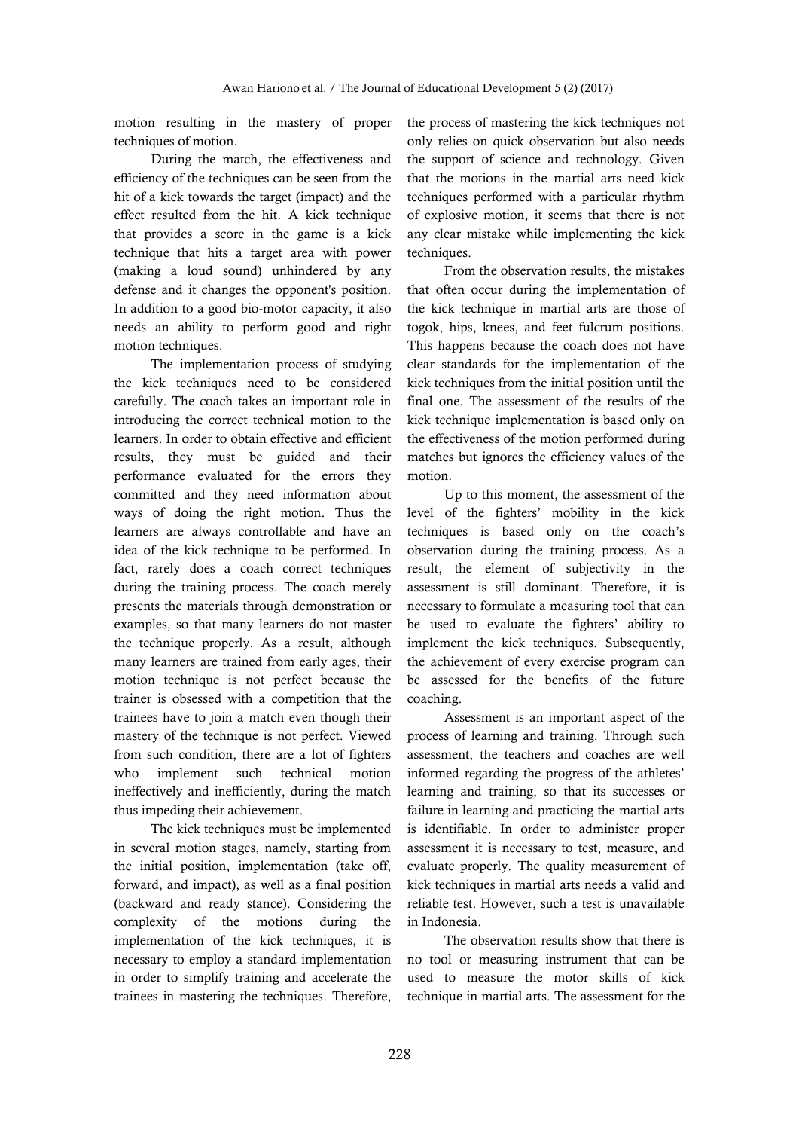motion resulting in the mastery of proper techniques of motion.

During the match, the effectiveness and efficiency of the techniques can be seen from the hit of a kick towards the target (impact) and the effect resulted from the hit. A kick technique that provides a score in the game is a kick technique that hits a target area with power (making a loud sound) unhindered by any defense and it changes the opponent's position. In addition to a good bio-motor capacity, it also needs an ability to perform good and right motion techniques.

The implementation process of studying the kick techniques need to be considered carefully. The coach takes an important role in introducing the correct technical motion to the learners. In order to obtain effective and efficient results, they must be guided and their performance evaluated for the errors they committed and they need information about ways of doing the right motion. Thus the learners are always controllable and have an idea of the kick technique to be performed. In fact, rarely does a coach correct techniques during the training process. The coach merely presents the materials through demonstration or examples, so that many learners do not master the technique properly. As a result, although many learners are trained from early ages, their motion technique is not perfect because the trainer is obsessed with a competition that the trainees have to join a match even though their mastery of the technique is not perfect. Viewed from such condition, there are a lot of fighters who implement such technical motion ineffectively and inefficiently, during the match thus impeding their achievement.

The kick techniques must be implemented in several motion stages, namely, starting from the initial position, implementation (take off, forward, and impact), as well as a final position (backward and ready stance). Considering the complexity of the motions during the implementation of the kick techniques, it is necessary to employ a standard implementation in order to simplify training and accelerate the trainees in mastering the techniques. Therefore, the process of mastering the kick techniques not only relies on quick observation but also needs the support of science and technology. Given that the motions in the martial arts need kick techniques performed with a particular rhythm of explosive motion, it seems that there is not any clear mistake while implementing the kick techniques.

From the observation results, the mistakes that often occur during the implementation of the kick technique in martial arts are those of togok, hips, knees, and feet fulcrum positions. This happens because the coach does not have clear standards for the implementation of the kick techniques from the initial position until the final one. The assessment of the results of the kick technique implementation is based only on the effectiveness of the motion performed during matches but ignores the efficiency values of the motion.

Up to this moment, the assessment of the level of the fighters' mobility in the kick techniques is based only on the coach's observation during the training process. As a result, the element of subjectivity in the assessment is still dominant. Therefore, it is necessary to formulate a measuring tool that can be used to evaluate the fighters' ability to implement the kick techniques. Subsequently, the achievement of every exercise program can be assessed for the benefits of the future coaching.

Assessment is an important aspect of the process of learning and training. Through such assessment, the teachers and coaches are well informed regarding the progress of the athletes' learning and training, so that its successes or failure in learning and practicing the martial arts is identifiable. In order to administer proper assessment it is necessary to test, measure, and evaluate properly. The quality measurement of kick techniques in martial arts needs a valid and reliable test. However, such a test is unavailable in Indonesia.

The observation results show that there is no tool or measuring instrument that can be used to measure the motor skills of kick technique in martial arts. The assessment for the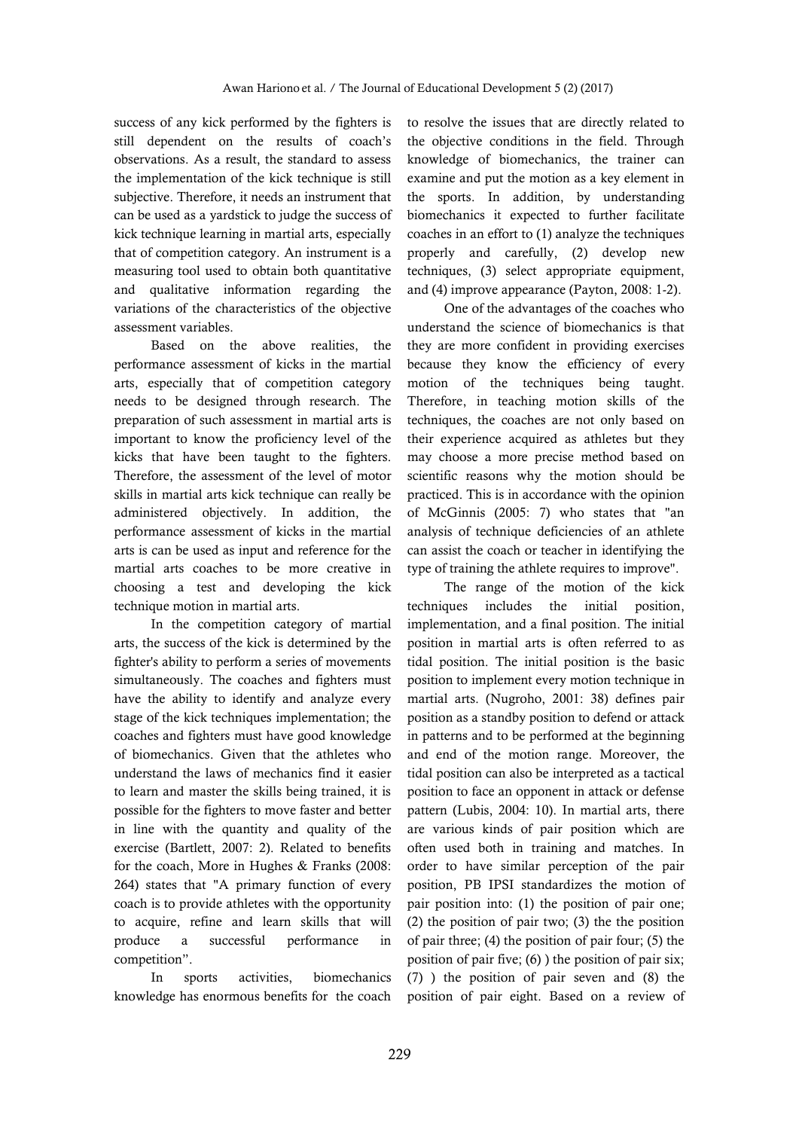success of any kick performed by the fighters is still dependent on the results of coach's observations. As a result, the standard to assess the implementation of the kick technique is still subjective. Therefore, it needs an instrument that can be used as a yardstick to judge the success of kick technique learning in martial arts, especially that of competition category. An instrument is a measuring tool used to obtain both quantitative and qualitative information regarding the variations of the characteristics of the objective assessment variables.

Based on the above realities, the performance assessment of kicks in the martial arts, especially that of competition category needs to be designed through research. The preparation of such assessment in martial arts is important to know the proficiency level of the kicks that have been taught to the fighters. Therefore, the assessment of the level of motor skills in martial arts kick technique can really be administered objectively. In addition, the performance assessment of kicks in the martial arts is can be used as input and reference for the martial arts coaches to be more creative in choosing a test and developing the kick technique motion in martial arts.

In the competition category of martial arts, the success of the kick is determined by the fighter's ability to perform a series of movements simultaneously. The coaches and fighters must have the ability to identify and analyze every stage of the kick techniques implementation; the coaches and fighters must have good knowledge of biomechanics. Given that the athletes who understand the laws of mechanics find it easier to learn and master the skills being trained, it is possible for the fighters to move faster and better in line with the quantity and quality of the exercise (Bartlett, 2007: 2). Related to benefits for the coach, More in Hughes & Franks (2008: 264) states that "A primary function of every coach is to provide athletes with the opportunity to acquire, refine and learn skills that will produce a successful performance in competition".

In sports activities, biomechanics knowledge has enormous benefits for the coach to resolve the issues that are directly related to the objective conditions in the field. Through knowledge of biomechanics, the trainer can examine and put the motion as a key element in the sports. In addition, by understanding biomechanics it expected to further facilitate coaches in an effort to (1) analyze the techniques properly and carefully, (2) develop new techniques, (3) select appropriate equipment, and (4) improve appearance (Payton, 2008: 1-2).

One of the advantages of the coaches who understand the science of biomechanics is that they are more confident in providing exercises because they know the efficiency of every motion of the techniques being taught. Therefore, in teaching motion skills of the techniques, the coaches are not only based on their experience acquired as athletes but they may choose a more precise method based on scientific reasons why the motion should be practiced. This is in accordance with the opinion of McGinnis (2005: 7) who states that "an analysis of technique deficiencies of an athlete can assist the coach or teacher in identifying the type of training the athlete requires to improve".

The range of the motion of the kick techniques includes the initial position, implementation, and a final position. The initial position in martial arts is often referred to as tidal position. The initial position is the basic position to implement every motion technique in martial arts. (Nugroho, 2001: 38) defines pair position as a standby position to defend or attack in patterns and to be performed at the beginning and end of the motion range. Moreover, the tidal position can also be interpreted as a tactical position to face an opponent in attack or defense pattern (Lubis, 2004: 10). In martial arts, there are various kinds of pair position which are often used both in training and matches. In order to have similar perception of the pair position, PB IPSI standardizes the motion of pair position into: (1) the position of pair one; (2) the position of pair two; (3) the the position of pair three; (4) the position of pair four; (5) the position of pair five; (6) ) the position of pair six; (7) ) the position of pair seven and (8) the position of pair eight. Based on a review of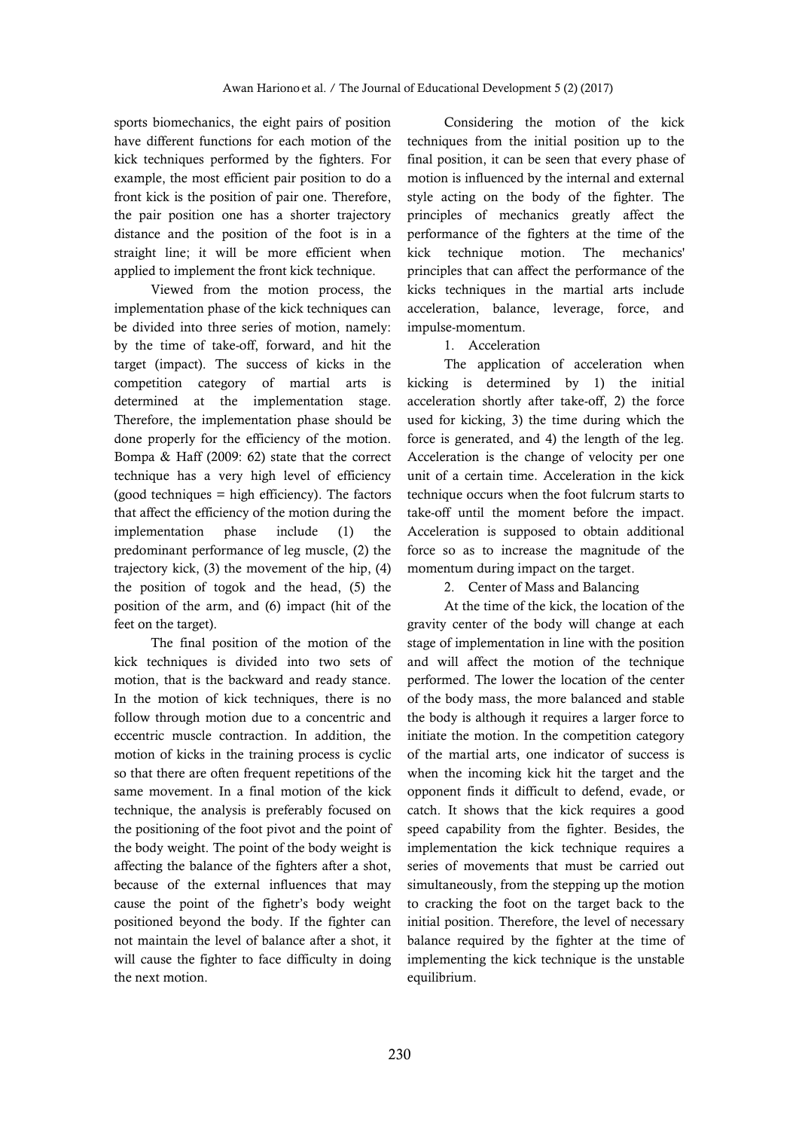sports biomechanics, the eight pairs of position have different functions for each motion of the kick techniques performed by the fighters. For example, the most efficient pair position to do a front kick is the position of pair one. Therefore, the pair position one has a shorter trajectory distance and the position of the foot is in a straight line; it will be more efficient when applied to implement the front kick technique.

Viewed from the motion process, the implementation phase of the kick techniques can be divided into three series of motion, namely: by the time of take-off, forward, and hit the target (impact). The success of kicks in the competition category of martial arts is determined at the implementation stage. Therefore, the implementation phase should be done properly for the efficiency of the motion. Bompa & Haff (2009: 62) state that the correct technique has a very high level of efficiency  $(good techniques = high efficiency)$ . The factors that affect the efficiency of the motion during the implementation phase include (1) the predominant performance of leg muscle, (2) the trajectory kick, (3) the movement of the hip, (4) the position of togok and the head, (5) the position of the arm, and (6) impact (hit of the feet on the target).

The final position of the motion of the kick techniques is divided into two sets of motion, that is the backward and ready stance. In the motion of kick techniques, there is no follow through motion due to a concentric and eccentric muscle contraction. In addition, the motion of kicks in the training process is cyclic so that there are often frequent repetitions of the same movement. In a final motion of the kick technique, the analysis is preferably focused on the positioning of the foot pivot and the point of the body weight. The point of the body weight is affecting the balance of the fighters after a shot, because of the external influences that may cause the point of the fighetr's body weight positioned beyond the body. If the fighter can not maintain the level of balance after a shot, it will cause the fighter to face difficulty in doing the next motion.

Considering the motion of the kick techniques from the initial position up to the final position, it can be seen that every phase of motion is influenced by the internal and external style acting on the body of the fighter. The principles of mechanics greatly affect the performance of the fighters at the time of the kick technique motion. The mechanics' principles that can affect the performance of the kicks techniques in the martial arts include acceleration, balance, leverage, force, and impulse-momentum.

## 1. Acceleration

The application of acceleration when kicking is determined by 1) the initial acceleration shortly after take-off, 2) the force used for kicking, 3) the time during which the force is generated, and 4) the length of the leg. Acceleration is the change of velocity per one unit of a certain time. Acceleration in the kick technique occurs when the foot fulcrum starts to take-off until the moment before the impact. Acceleration is supposed to obtain additional force so as to increase the magnitude of the momentum during impact on the target.

2. Center of Mass and Balancing

At the time of the kick, the location of the gravity center of the body will change at each stage of implementation in line with the position and will affect the motion of the technique performed. The lower the location of the center of the body mass, the more balanced and stable the body is although it requires a larger force to initiate the motion. In the competition category of the martial arts, one indicator of success is when the incoming kick hit the target and the opponent finds it difficult to defend, evade, or catch. It shows that the kick requires a good speed capability from the fighter. Besides, the implementation the kick technique requires a series of movements that must be carried out simultaneously, from the stepping up the motion to cracking the foot on the target back to the initial position. Therefore, the level of necessary balance required by the fighter at the time of implementing the kick technique is the unstable equilibrium.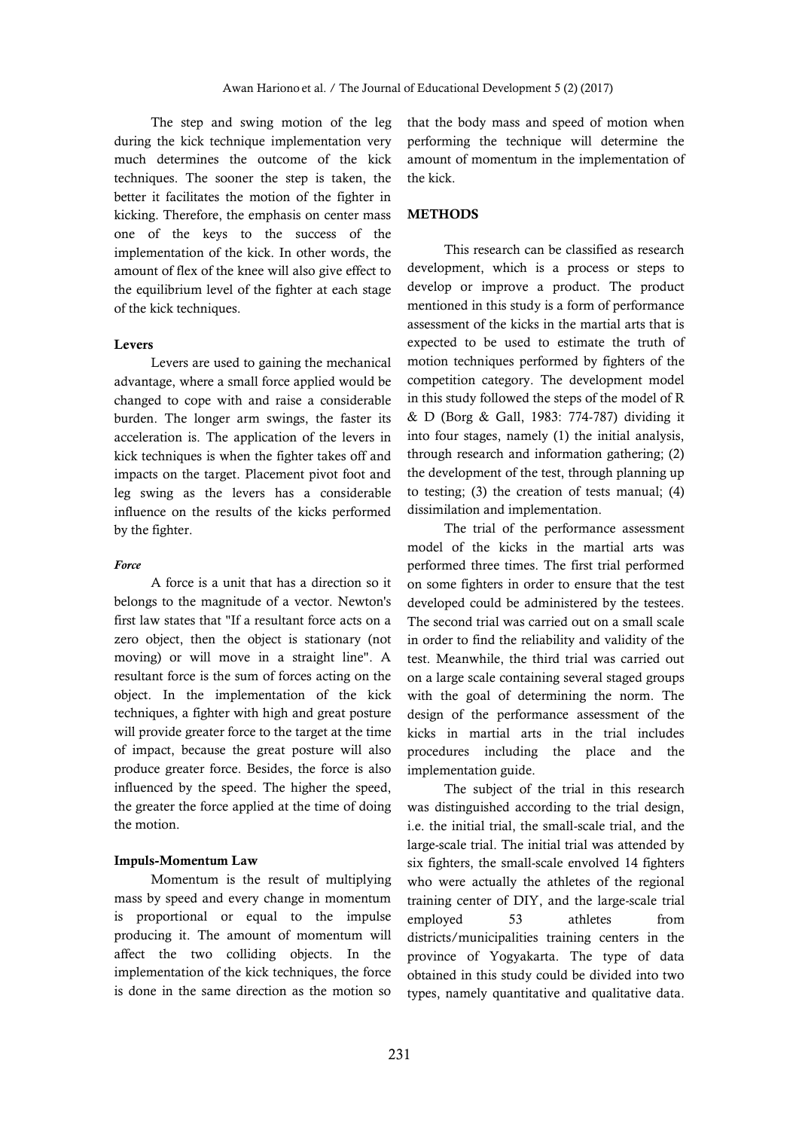The step and swing motion of the leg during the kick technique implementation very much determines the outcome of the kick techniques. The sooner the step is taken, the better it facilitates the motion of the fighter in kicking. Therefore, the emphasis on center mass one of the keys to the success of the implementation of the kick. In other words, the amount of flex of the knee will also give effect to the equilibrium level of the fighter at each stage of the kick techniques.

## **Levers**

Levers are used to gaining the mechanical advantage, where a small force applied would be changed to cope with and raise a considerable burden. The longer arm swings, the faster its acceleration is. The application of the levers in kick techniques is when the fighter takes off and impacts on the target. Placement pivot foot and leg swing as the levers has a considerable influence on the results of the kicks performed by the fighter.

#### *Force*

A force is a unit that has a direction so it belongs to the magnitude of a vector. Newton's first law states that "If a resultant force acts on a zero object, then the object is stationary (not moving) or will move in a straight line". A resultant force is the sum of forces acting on the object. In the implementation of the kick techniques, a fighter with high and great posture will provide greater force to the target at the time of impact, because the great posture will also produce greater force. Besides, the force is also influenced by the speed. The higher the speed, the greater the force applied at the time of doing the motion.

### **Impuls-Momentum Law**

Momentum is the result of multiplying mass by speed and every change in momentum is proportional or equal to the impulse producing it. The amount of momentum will affect the two colliding objects. In the implementation of the kick techniques, the force is done in the same direction as the motion so

that the body mass and speed of motion when performing the technique will determine the amount of momentum in the implementation of the kick.

## **METHODS**

This research can be classified as research development, which is a process or steps to develop or improve a product. The product mentioned in this study is a form of performance assessment of the kicks in the martial arts that is expected to be used to estimate the truth of motion techniques performed by fighters of the competition category. The development model in this study followed the steps of the model of R & D (Borg & Gall, 1983: 774-787) dividing it into four stages, namely (1) the initial analysis, through research and information gathering; (2) the development of the test, through planning up to testing; (3) the creation of tests manual; (4) dissimilation and implementation.

The trial of the performance assessment model of the kicks in the martial arts was performed three times. The first trial performed on some fighters in order to ensure that the test developed could be administered by the testees. The second trial was carried out on a small scale in order to find the reliability and validity of the test. Meanwhile, the third trial was carried out on a large scale containing several staged groups with the goal of determining the norm. The design of the performance assessment of the kicks in martial arts in the trial includes procedures including the place and the implementation guide.

The subject of the trial in this research was distinguished according to the trial design, i.e. the initial trial, the small-scale trial, and the large-scale trial. The initial trial was attended by six fighters, the small-scale envolved 14 fighters who were actually the athletes of the regional training center of DIY, and the large-scale trial employed 53 athletes from districts/municipalities training centers in the province of Yogyakarta. The type of data obtained in this study could be divided into two types, namely quantitative and qualitative data.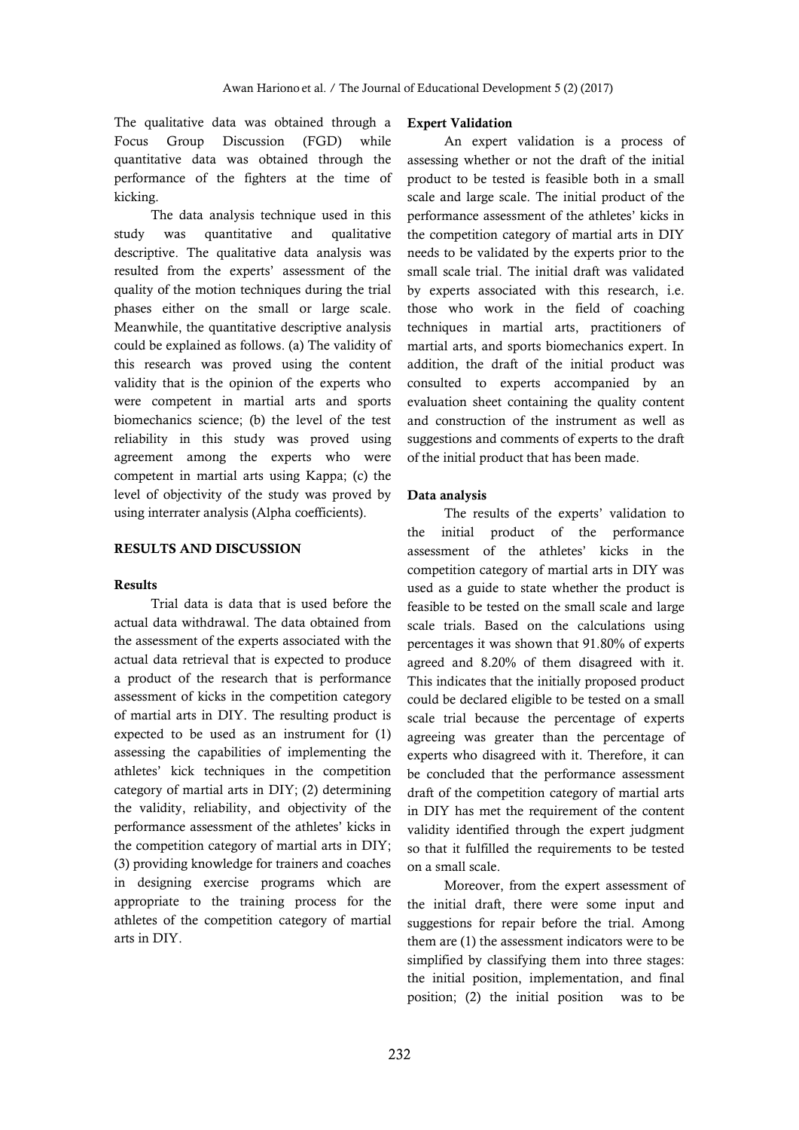The qualitative data was obtained through a Focus Group Discussion (FGD) while quantitative data was obtained through the performance of the fighters at the time of kicking.

The data analysis technique used in this study was quantitative and qualitative descriptive. The qualitative data analysis was resulted from the experts' assessment of the quality of the motion techniques during the trial phases either on the small or large scale. Meanwhile, the quantitative descriptive analysis could be explained as follows. (a) The validity of this research was proved using the content validity that is the opinion of the experts who were competent in martial arts and sports biomechanics science; (b) the level of the test reliability in this study was proved using agreement among the experts who were competent in martial arts using Kappa; (c) the level of objectivity of the study was proved by using interrater analysis (Alpha coefficients).

#### **RESULTS AND DISCUSSION**

#### **Results**

Trial data is data that is used before the actual data withdrawal. The data obtained from the assessment of the experts associated with the actual data retrieval that is expected to produce a product of the research that is performance assessment of kicks in the competition category of martial arts in DIY. The resulting product is expected to be used as an instrument for (1) assessing the capabilities of implementing the athletes' kick techniques in the competition category of martial arts in DIY; (2) determining the validity, reliability, and objectivity of the performance assessment of the athletes' kicks in the competition category of martial arts in DIY; (3) providing knowledge for trainers and coaches in designing exercise programs which are appropriate to the training process for the athletes of the competition category of martial arts in DIY.

#### **Expert Validation**

An expert validation is a process of assessing whether or not the draft of the initial product to be tested is feasible both in a small scale and large scale. The initial product of the performance assessment of the athletes' kicks in the competition category of martial arts in DIY needs to be validated by the experts prior to the small scale trial. The initial draft was validated by experts associated with this research, i.e. those who work in the field of coaching techniques in martial arts, practitioners of martial arts, and sports biomechanics expert. In addition, the draft of the initial product was consulted to experts accompanied by an evaluation sheet containing the quality content and construction of the instrument as well as suggestions and comments of experts to the draft of the initial product that has been made.

#### **Data analysis**

The results of the experts' validation to the initial product of the performance assessment of the athletes' kicks in the competition category of martial arts in DIY was used as a guide to state whether the product is feasible to be tested on the small scale and large scale trials. Based on the calculations using percentages it was shown that 91.80% of experts agreed and 8.20% of them disagreed with it. This indicates that the initially proposed product could be declared eligible to be tested on a small scale trial because the percentage of experts agreeing was greater than the percentage of experts who disagreed with it. Therefore, it can be concluded that the performance assessment draft of the competition category of martial arts in DIY has met the requirement of the content validity identified through the expert judgment so that it fulfilled the requirements to be tested on a small scale.

Moreover, from the expert assessment of the initial draft, there were some input and suggestions for repair before the trial. Among them are (1) the assessment indicators were to be simplified by classifying them into three stages: the initial position, implementation, and final position; (2) the initial position was to be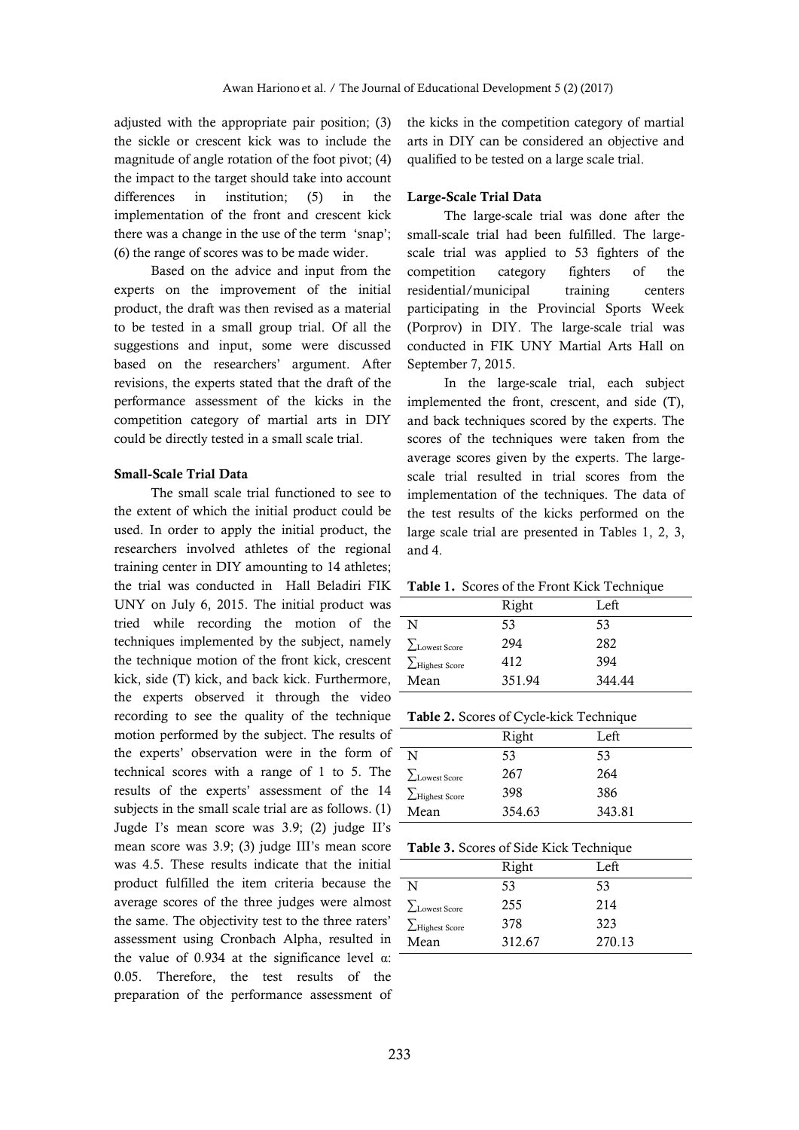adjusted with the appropriate pair position; (3) the sickle or crescent kick was to include the magnitude of angle rotation of the foot pivot; (4) the impact to the target should take into account differences in institution; (5) in the implementation of the front and crescent kick there was a change in the use of the term 'snap'; (6) the range of scores was to be made wider.

Based on the advice and input from the experts on the improvement of the initial product, the draft was then revised as a material to be tested in a small group trial. Of all the suggestions and input, some were discussed based on the researchers' argument. After revisions, the experts stated that the draft of the performance assessment of the kicks in the competition category of martial arts in DIY could be directly tested in a small scale trial.

#### **Small-Scale Trial Data**

The small scale trial functioned to see to the extent of which the initial product could be used. In order to apply the initial product, the researchers involved athletes of the regional training center in DIY amounting to 14 athletes; the trial was conducted in Hall Beladiri FIK UNY on July 6, 2015. The initial product was tried while recording the motion of the techniques implemented by the subject, namely the technique motion of the front kick, crescent kick, side (T) kick, and back kick. Furthermore, the experts observed it through the video recording to see the quality of the technique motion performed by the subject. The results of the experts' observation were in the form of technical scores with a range of 1 to 5. The results of the experts' assessment of the 14 subjects in the small scale trial are as follows. (1) Jugde I's mean score was 3.9; (2) judge II's mean score was 3.9; (3) judge III's mean score was 4.5. These results indicate that the initial product fulfilled the item criteria because the average scores of the three judges were almost the same. The objectivity test to the three raters' assessment using Cronbach Alpha, resulted in the value of 0.934 at the significance level  $\alpha$ : 0.05. Therefore, the test results of the preparation of the performance assessment of

the kicks in the competition category of martial arts in DIY can be considered an objective and qualified to be tested on a large scale trial.

### **Large-Scale Trial Data**

The large-scale trial was done after the small-scale trial had been fulfilled. The largescale trial was applied to 53 fighters of the competition category fighters of the residential/municipal training centers participating in the Provincial Sports Week (Porprov) in DIY. The large-scale trial was conducted in FIK UNY Martial Arts Hall on September 7, 2015.

In the large-scale trial, each subject implemented the front, crescent, and side (T), and back techniques scored by the experts. The scores of the techniques were taken from the average scores given by the experts. The largescale trial resulted in trial scores from the implementation of the techniques. The data of the test results of the kicks performed on the large scale trial are presented in Tables 1, 2, 3, and 4.

#### **Table 1.** Scores of the Front Kick Technique

|                               | Right  | Left   |
|-------------------------------|--------|--------|
| N                             | 53     | 53     |
| $\sum_{\text{Lowest Score}}$  | 294    | 282    |
| $\sum_{\text{Highest}}$ Score | 412    | 394    |
| Mean                          | 351.94 | 344.44 |

|  |  |  | Table 2. Scores of Cycle-kick Technique |  |
|--|--|--|-----------------------------------------|--|
|--|--|--|-----------------------------------------|--|

|                       | Right  | Left   |  |
|-----------------------|--------|--------|--|
| N                     | 53     | 53     |  |
| $\Sigma$ Lowest Score | 267    | 264    |  |
| $\sum$ Highest Score  | 398    | 386    |  |
| Mean                  | 354.63 | 343.81 |  |

|                              | Right  | Left   |
|------------------------------|--------|--------|
| N                            | 53     | 53     |
| $\sum_{\text{Lowest Score}}$ | 255    | 214    |
| $\sum$ Highest Score         | 378    | 323    |
| Mean                         | 312.67 | 270.13 |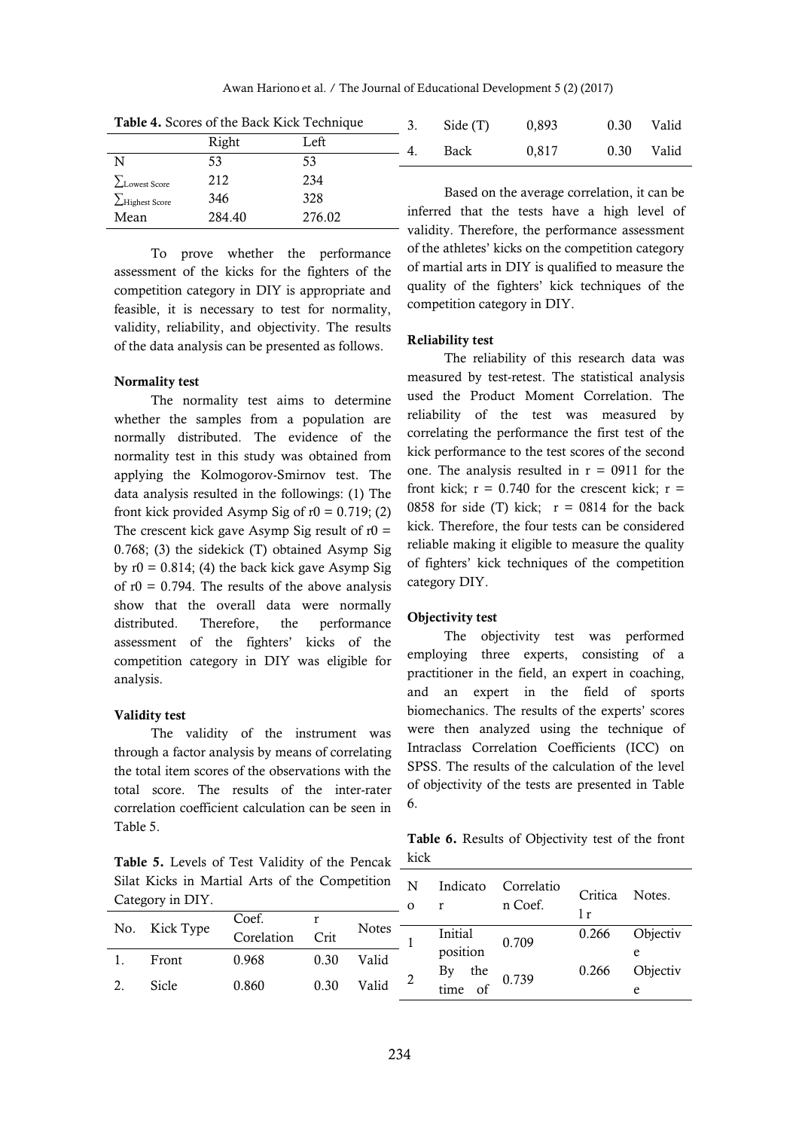|                      |        | <b>Table 4.</b> Scores of the Back Kick Technique | Side (T)                                     | 0.893 |  | 0.30 | Valid |
|----------------------|--------|---------------------------------------------------|----------------------------------------------|-------|--|------|-------|
|                      | Right  | Left                                              | Back                                         | 0.817 |  | 0.30 | Valid |
| N                    | 53     | 53                                                |                                              |       |  |      |       |
| <b>LLowest Score</b> | 212    | 234                                               |                                              |       |  |      |       |
| $\sum$ Highest Score | 346    | 328                                               | Based on the average correlation, it can be  |       |  |      |       |
| Mean                 | 284.40 | 276.02                                            | inferred that the tests have a high level of |       |  |      |       |

**Table 4.** Scores of the Back Kick Technique

To prove whether the performance assessment of the kicks for the fighters of the competition category in DIY is appropriate and feasible, it is necessary to test for normality, validity, reliability, and objectivity. The results of the data analysis can be presented as follows.

## **Normality test**

The normality test aims to determine whether the samples from a population are normally distributed. The evidence of the normality test in this study was obtained from applying the Kolmogorov-Smirnov test. The data analysis resulted in the followings: (1) The front kick provided Asymp Sig of  $r0 = 0.719$ ; (2) The crescent kick gave Asymp Sig result of  $r0 =$ 0.768; (3) the sidekick (T) obtained Asymp Sig by  $r0 = 0.814$ ; (4) the back kick gave Asymp Sig of  $r0 = 0.794$ . The results of the above analysis show that the overall data were normally distributed. Therefore, the performance assessment of the fighters' kicks of the competition category in DIY was eligible for analysis.

#### **Validity test**

The validity of the instrument was through a factor analysis by means of correlating the total item scores of the observations with the total score. The results of the inter-rater correlation coefficient calculation can be seen in Table 5.

**Table 5.** Levels of Test Validity of the Pencak Silat Kicks in Martial Arts of the Category

validity. Therefore, the performance assessment of the athletes' kicks on the competition category of martial arts in DIY is qualified to measure the quality of the fighters' kick techniques of the competition category in DIY.

#### **Reliability test**

The reliability of this research data was measured by test-retest. The statistical analysis used the Product Moment Correlation. The reliability of the test was measured by correlating the performance the first test of the kick performance to the test scores of the second one. The analysis resulted in  $r = 0.0911$  for the front kick;  $r = 0.740$  for the crescent kick;  $r =$ 0858 for side (T) kick;  $r = 0814$  for the back kick. Therefore, the four tests can be considered reliable making it eligible to measure the quality of fighters' kick techniques of the competition category DIY.

#### **Objectivity test**

The objectivity test was performed employing three experts, consisting of a practitioner in the field, an expert in coaching, and an expert in the field of sports biomechanics. The results of the experts' scores were then analyzed using the technique of Intraclass Correlation Coefficients (ICC) on SPSS. The results of the calculation of the level of objectivity of the tests are presented in Table 6.

**Table 6.** Results of Objectivity test of the front kick

| Silat Kicks in Martial Arts of the Competition<br>Category in DIY. |           |            |      |              | N<br>$\Omega$ | Indicato         | Correlatio<br>n Coef. | Critica | Notes.   |
|--------------------------------------------------------------------|-----------|------------|------|--------------|---------------|------------------|-----------------------|---------|----------|
|                                                                    |           | Coef.      |      |              |               |                  |                       |         |          |
| No.                                                                | Kick Type | Corelation | Crit | <b>Notes</b> |               | <b>Initial</b>   | 0.709                 | 0.266   | Objectiv |
|                                                                    | Front     | 0.968      | 0.30 | Valid        |               | position<br>the  |                       | 0.266   | Objectiv |
| 2.                                                                 | Sicle     | 0.860      | 0.30 | Valid        | 2             | Вy<br>of<br>time | 0.739                 |         |          |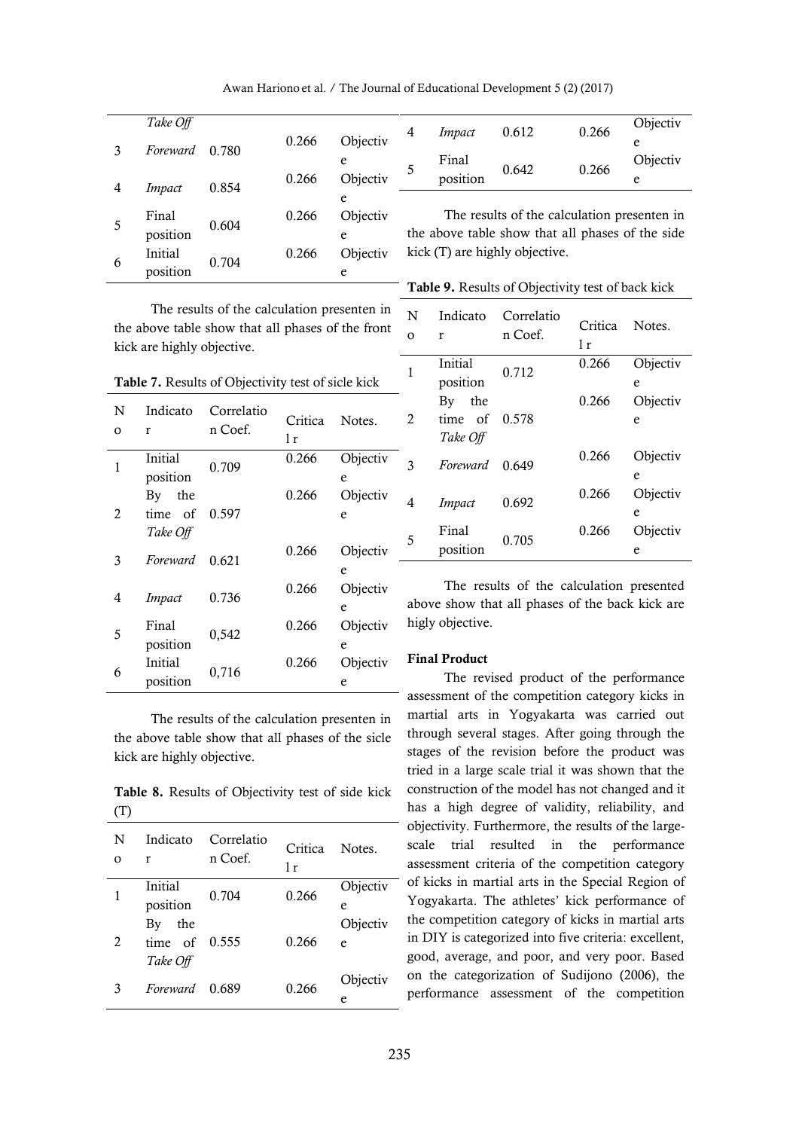Awan Hariono et al. / The Journal of Educational Development 5 (2) (2017)

|   | Take Off       |       |       |          |
|---|----------------|-------|-------|----------|
| 3 | Foreward       | 0.780 | 0.266 | Objectiv |
|   |                |       |       | e        |
| 4 | Impact         | 0.854 | 0.266 | Objectiv |
|   |                |       |       | e        |
| 5 | Final          | 0.604 | 0.266 | Objectiv |
|   | position       |       |       | e        |
| 6 | <b>Initial</b> | 0.704 | 0.266 | Objectiv |
|   | position       |       |       | e        |

The results of the calculation presenten in the above table show that all phases of the front

kick are highly objective.

<sup>4</sup> *Impact* 0.612 0.266 Objectiv e 5 Final Final 0.642 0.266 Objectiv<br>position 0.642 0.266 e e

The results of the calculation presenten in the above table show that all phases of the side kick (T) are highly objective.

**Table 9.** Results of Objectivity test of back kick

| <b>Table 7.</b> Results of Objectivity test of sicle kick |                                  |                       |                |               |  |  |  |  |
|-----------------------------------------------------------|----------------------------------|-----------------------|----------------|---------------|--|--|--|--|
| N<br>O                                                    | Indicato<br>r                    | Correlatio<br>n Coef. | Critica<br>1 r | Notes.        |  |  |  |  |
| 1                                                         | Initial<br>position              | 0.709                 | 0.266          | Objectiv<br>e |  |  |  |  |
| $\overline{2}$                                            | the<br>By<br>time of<br>Take Off | 0.597                 | 0.266          | Objectiv<br>e |  |  |  |  |
| 3                                                         | Foreward                         | 0.621                 | 0.266          | Objectiv<br>e |  |  |  |  |
| 4                                                         | Impact                           | 0.736                 | 0.266          | Objectiv<br>e |  |  |  |  |
| 5                                                         | Final<br>position                | 0,542                 | 0.266          | Objectiv<br>e |  |  |  |  |
| 6                                                         | Initial<br>position              | 0,716                 | 0.266          | Objectiv<br>e |  |  |  |  |

The results of the calculation presenten in the above table show that all phases of the sicle kick are highly objective.

**Table 8.** Results of Objectivity test of side kick (T)

| N<br>Ω | Indicato<br>r   | Correlatio<br>n Coef. | Critica<br>1r | Notes.   |
|--------|-----------------|-----------------------|---------------|----------|
|        | <b>Initial</b>  | 0.704                 | 0.266         | Objectiv |
|        | position        |                       |               | e        |
|        | the<br>By       |                       |               | Objectiv |
| 2      | time of $0.555$ |                       | 0.266         | e        |
|        | Take Off        |                       |               |          |
| 3      | Foreward        | 0.689                 | 0.266         | Objectiv |
|        |                 |                       |               | e        |

| N<br>O         | Indicato<br>r                                | Correlatio<br>n Coef. | Critica<br>1r | Notes.             |
|----------------|----------------------------------------------|-----------------------|---------------|--------------------|
|                | <b>Initial</b>                               | 0.712                 | 0.266         | Objectiv           |
| $\mathfrak{D}$ | position<br>By<br>the<br>time of<br>Take Off | 0.578                 | 0.266         | e<br>Objectiv<br>e |
| 3              | <i>Foreward</i>                              | 0.649                 | 0.266         | Objectiv<br>e      |
| 4              | Impact                                       | 0.692                 | 0.266         | Objectiv<br>e      |
| 5              | Final<br>position                            | 0.705                 | 0.266         | Objectiv<br>e      |

The results of the calculation presented above show that all phases of the back kick are higly objective.

### **Final Product**

The revised product of the performance assessment of the competition category kicks in martial arts in Yogyakarta was carried out through several stages. After going through the stages of the revision before the product was tried in a large scale trial it was shown that the construction of the model has not changed and it has a high degree of validity, reliability, and objectivity. Furthermore, the results of the largescale trial resulted in the performance assessment criteria of the competition category of kicks in martial arts in the Special Region of Yogyakarta. The athletes' kick performance of the competition category of kicks in martial arts in DIY is categorized into five criteria: excellent, good, average, and poor, and very poor. Based on the categorization of Sudijono (2006), the performance assessment of the competition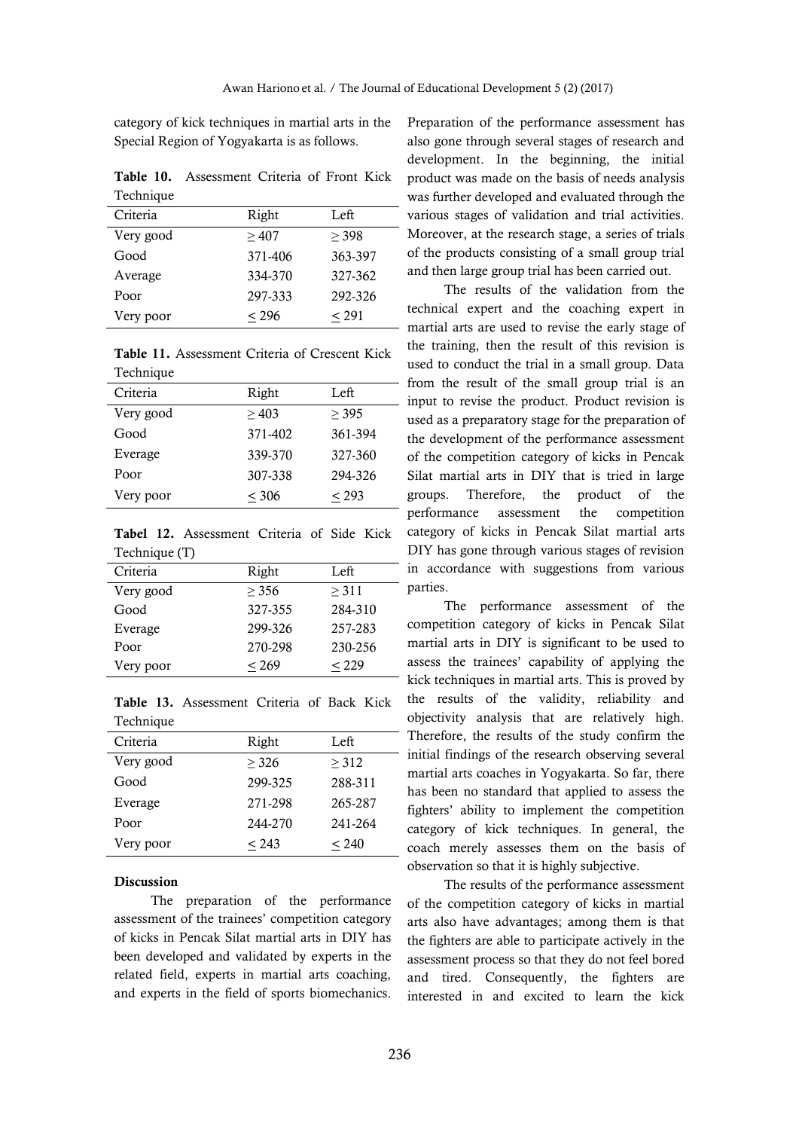category of kick techniques in martial arts in the Special Region of Yogyakarta is as follows.

**Table 10.** Assessment Criteria of Front Kick **Technique** 

| Criteria  | Right   | Left    |
|-----------|---------|---------|
| Very good | >407    | > 398   |
| Good      | 371-406 | 363-397 |
| Average   | 334-370 | 327-362 |
| Poor      | 297-333 | 292-326 |
| Very poor | < 296   | < 291   |

**Table 11.** Assessment Criteria of Crescent Kick Technique

| Criteria  | Right   | Left    |
|-----------|---------|---------|
| Very good | >403    | > 395   |
| Good      | 371-402 | 361-394 |
| Everage   | 339-370 | 327-360 |
| Poor      | 307-338 | 294-326 |
| Very poor | < 306   | < 293   |

**Tabel 12.** Assessment Criteria of Side Kick Technique (T)

| Right   | Left    |
|---------|---------|
| > 356   | > 311   |
| 327-355 | 284-310 |
| 299-326 | 257-283 |
| 270-298 | 230-256 |
| < 269   | < 229   |
|         |         |

**Table 13.** Assessment Criteria of Back Kick Technique

| Criteria  | Right   | Left       |
|-----------|---------|------------|
| Very good | > 326   | > 312      |
| Good      | 299-325 | 288-311    |
| Everage   | 271-298 | 265-287    |
| Poor      | 244-270 | 241-264    |
| Very poor | < 243   | ${}_{240}$ |

#### **Discussion**

The preparation of the performance assessment of the trainees' competition category of kicks in Pencak Silat martial arts in DIY has been developed and validated by experts in the related field, experts in martial arts coaching, and experts in the field of sports biomechanics.

Preparation of the performance assessment has also gone through several stages of research and development. In the beginning, the initial product was made on the basis of needs analysis was further developed and evaluated through the various stages of validation and trial activities. Moreover, at the research stage, a series of trials of the products consisting of a small group trial and then large group trial has been carried out.

The results of the validation from the technical expert and the coaching expert in martial arts are used to revise the early stage of the training, then the result of this revision is used to conduct the trial in a small group. Data - from the result of the small group trial is an input to revise the product. Product revision is used as a preparatory stage for the preparation of the development of the performance assessment of the competition category of kicks in Pencak Silat martial arts in DIY that is tried in large groups. Therefore, the product of the performance assessment the competition category of kicks in Pencak Silat martial arts DIY has gone through various stages of revision in accordance with suggestions from various parties.

The performance assessment of the competition category of kicks in Pencak Silat martial arts in DIY is significant to be used to assess the trainees' capability of applying the kick techniques in martial arts. This is proved by the results of the validity, reliability and objectivity analysis that are relatively high. Therefore, the results of the study confirm the - initial findings of the research observing several martial arts coaches in Yogyakarta. So far, there has been no standard that applied to assess the fighters' ability to implement the competition category of kick techniques. In general, the coach merely assesses them on the basis of observation so that it is highly subjective.

The results of the performance assessment of the competition category of kicks in martial arts also have advantages; among them is that the fighters are able to participate actively in the assessment process so that they do not feel bored and tired. Consequently, the fighters are interested in and excited to learn the kick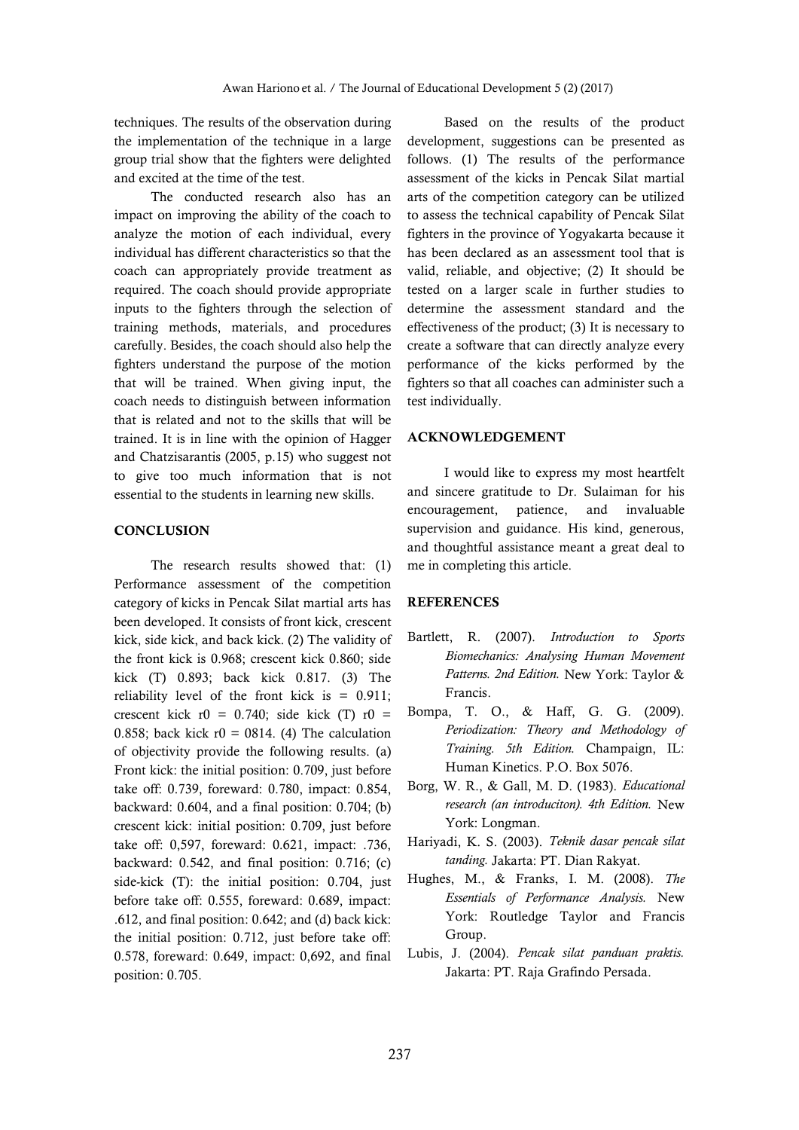techniques. The results of the observation during the implementation of the technique in a large group trial show that the fighters were delighted and excited at the time of the test.

The conducted research also has an impact on improving the ability of the coach to analyze the motion of each individual, every individual has different characteristics so that the coach can appropriately provide treatment as required. The coach should provide appropriate inputs to the fighters through the selection of training methods, materials, and procedures carefully. Besides, the coach should also help the fighters understand the purpose of the motion that will be trained. When giving input, the coach needs to distinguish between information that is related and not to the skills that will be trained. It is in line with the opinion of Hagger and Chatzisarantis (2005, p.15) who suggest not to give too much information that is not essential to the students in learning new skills.

#### **CONCLUSION**

The research results showed that: (1) Performance assessment of the competition category of kicks in Pencak Silat martial arts has been developed. It consists of front kick, crescent kick, side kick, and back kick. (2) The validity of the front kick is 0.968; crescent kick 0.860; side kick (T) 0.893; back kick 0.817. (3) The reliability level of the front kick is  $= 0.911$ ; crescent kick  $r0 = 0.740$ ; side kick (T)  $r0 =$ 0.858; back kick  $r0 = 0814$ . (4) The calculation of objectivity provide the following results. (a) Front kick: the initial position: 0.709, just before take off: 0.739, foreward: 0.780, impact: 0.854, backward: 0.604, and a final position: 0.704; (b) crescent kick: initial position: 0.709, just before take off: 0,597, foreward: 0.621, impact: .736, backward: 0.542, and final position: 0.716; (c) side-kick (T): the initial position: 0.704, just before take off: 0.555, foreward: 0.689, impact: .612, and final position: 0.642; and (d) back kick: the initial position: 0.712, just before take off: 0.578, foreward: 0.649, impact: 0,692, and final position: 0.705.

Based on the results of the product development, suggestions can be presented as follows. (1) The results of the performance assessment of the kicks in Pencak Silat martial arts of the competition category can be utilized to assess the technical capability of Pencak Silat fighters in the province of Yogyakarta because it has been declared as an assessment tool that is valid, reliable, and objective; (2) It should be tested on a larger scale in further studies to determine the assessment standard and the effectiveness of the product; (3) It is necessary to create a software that can directly analyze every performance of the kicks performed by the fighters so that all coaches can administer such a test individually.

### **ACKNOWLEDGEMENT**

I would like to express my most heartfelt and sincere gratitude to Dr. Sulaiman for his encouragement, patience, and invaluable supervision and guidance. His kind, generous, and thoughtful assistance meant a great deal to me in completing this article.

#### **REFERENCES**

- Bartlett, R. (2007). *Introduction to Sports Biomechanics: Analysing Human Movement Patterns. 2nd Edition.* New York: Taylor & Francis.
- Bompa, T. O., & Haff, G. G. (2009). *Periodization: Theory and Methodology of Training. 5th Edition.* Champaign, IL: Human Kinetics. P.O. Box 5076.
- Borg, W. R., & Gall, M. D. (1983). *Educational research (an introduciton). 4th Edition.* New York: Longman.
- Hariyadi, K. S. (2003). *Teknik dasar pencak silat tanding.* Jakarta: PT. Dian Rakyat.
- Hughes, M., & Franks, I. M. (2008). *The Essentials of Performance Analysis.* New York: Routledge Taylor and Francis Group.
- Lubis, J. (2004). *Pencak silat panduan praktis.* Jakarta: PT. Raja Grafindo Persada.